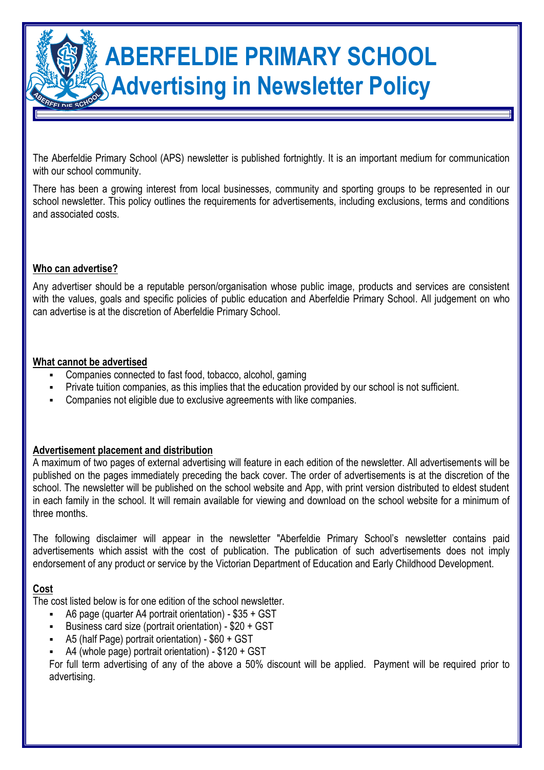# **ABERFELDIE PRIMARY SCHOOL Advertising in Newsletter Policy**

The Aberfeldie Primary School (APS) newsletter is published fortnightly. It is an important medium for communication with our school community.

There has been a growing interest from local businesses, community and sporting groups to be represented in our school newsletter. This policy outlines the requirements for advertisements, including exclusions, terms and conditions and associated costs.

# **Who can advertise?**

Any advertiser should be a reputable person/organisation whose public image, products and services are consistent with the values, goals and specific policies of public education and Aberfeldie Primary School. All judgement on who can advertise is at the discretion of Aberfeldie Primary School.

## **What cannot be advertised**

- Companies connected to fast food, tobacco, alcohol, gaming
- Private tuition companies, as this implies that the education provided by our school is not sufficient.
- Companies not eligible due to exclusive agreements with like companies.

# **Advertisement placement and distribution**

A maximum of two pages of external advertising will feature in each edition of the newsletter. All advertisements will be published on the pages immediately preceding the back cover. The order of advertisements is at the discretion of the school. The newsletter will be published on the school website and App, with print version distributed to eldest student in each family in the school. It will remain available for viewing and download on the school website for a minimum of three months.

The following disclaimer will appear in the newsletter "Aberfeldie Primary School's newsletter contains paid advertisements which assist with the cost of publication. The publication of such advertisements does not imply endorsement of any product or service by the Victorian Department of Education and Early Childhood Development.

# **Cost**

The cost listed below is for one edition of the school newsletter.

- A6 page (quarter A4 portrait orientation) \$35 + GST
- Business card size (portrait orientation) \$20 + GST
- A5 (half Page) portrait orientation) \$60 + GST
- A4 (whole page) portrait orientation) \$120 + GST

For full term advertising of any of the above a 50% discount will be applied. Payment will be required prior to advertising.